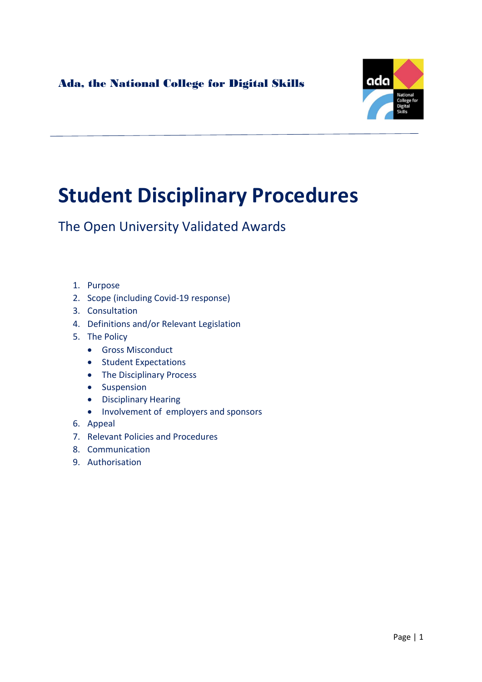

# Student Disciplinary Procedures

The Open University Validated Awards

- 1. Purpose
- 2. Scope (including Covid-19 response)
- 3. Consultation
- 4. Definitions and/or Relevant Legislation
- 5. The Policy
	- **•** Gross Misconduct
	- Student Expectations
	- The Disciplinary Process
	- Suspension
	- Disciplinary Hearing
	- Involvement of employers and sponsors
- 6. Appeal
- 7. Relevant Policies and Procedures
- 8. Communication
- 9. Authorisation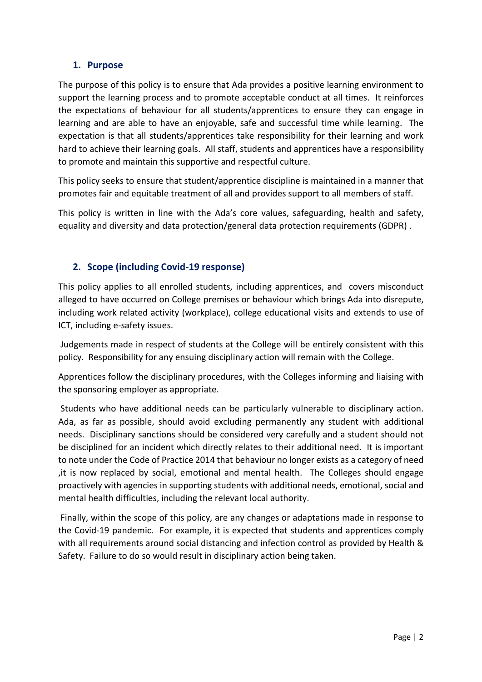# 1. Purpose

The purpose of this policy is to ensure that Ada provides a positive learning environment to support the learning process and to promote acceptable conduct at all times. It reinforces the expectations of behaviour for all students/apprentices to ensure they can engage in learning and are able to have an enjoyable, safe and successful time while learning. The expectation is that all students/apprentices take responsibility for their learning and work hard to achieve their learning goals. All staff, students and apprentices have a responsibility to promote and maintain this supportive and respectful culture.

This policy seeks to ensure that student/apprentice discipline is maintained in a manner that promotes fair and equitable treatment of all and provides support to all members of staff.

This policy is written in line with the Ada's core values, safeguarding, health and safety, equality and diversity and data protection/general data protection requirements (GDPR) .

# 2. Scope (including Covid-19 response)

This policy applies to all enrolled students, including apprentices, and covers misconduct alleged to have occurred on College premises or behaviour which brings Ada into disrepute, including work related activity (workplace), college educational visits and extends to use of ICT, including e-safety issues.

 Judgements made in respect of students at the College will be entirely consistent with this policy. Responsibility for any ensuing disciplinary action will remain with the College.

Apprentices follow the disciplinary procedures, with the Colleges informing and liaising with the sponsoring employer as appropriate.

 Students who have additional needs can be particularly vulnerable to disciplinary action. Ada, as far as possible, should avoid excluding permanently any student with additional needs. Disciplinary sanctions should be considered very carefully and a student should not be disciplined for an incident which directly relates to their additional need. It is important to note under the Code of Practice 2014 that behaviour no longer exists as a category of need ,it is now replaced by social, emotional and mental health. The Colleges should engage proactively with agencies in supporting students with additional needs, emotional, social and mental health difficulties, including the relevant local authority.

 Finally, within the scope of this policy, are any changes or adaptations made in response to the Covid-19 pandemic. For example, it is expected that students and apprentices comply with all requirements around social distancing and infection control as provided by Health & Safety. Failure to do so would result in disciplinary action being taken.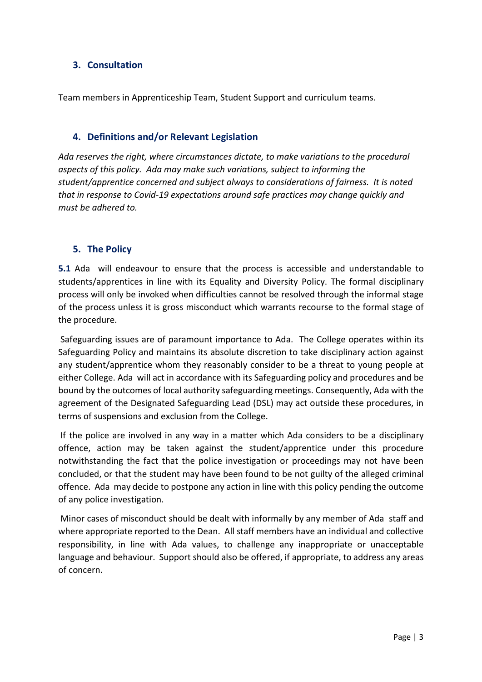# 3. Consultation

Team members in Apprenticeship Team, Student Support and curriculum teams.

# 4. Definitions and/or Relevant Legislation

Ada reserves the right, where circumstances dictate, to make variations to the procedural aspects of this policy. Ada may make such variations, subject to informing the student/apprentice concerned and subject always to considerations of fairness. It is noted that in response to Covid-19 expectations around safe practices may change quickly and must be adhered to.

# 5. The Policy

5.1 Ada will endeavour to ensure that the process is accessible and understandable to students/apprentices in line with its Equality and Diversity Policy. The formal disciplinary process will only be invoked when difficulties cannot be resolved through the informal stage of the process unless it is gross misconduct which warrants recourse to the formal stage of the procedure.

 Safeguarding issues are of paramount importance to Ada. The College operates within its Safeguarding Policy and maintains its absolute discretion to take disciplinary action against any student/apprentice whom they reasonably consider to be a threat to young people at either College. Ada will act in accordance with its Safeguarding policy and procedures and be bound by the outcomes of local authority safeguarding meetings. Consequently, Ada with the agreement of the Designated Safeguarding Lead (DSL) may act outside these procedures, in terms of suspensions and exclusion from the College.

 If the police are involved in any way in a matter which Ada considers to be a disciplinary offence, action may be taken against the student/apprentice under this procedure notwithstanding the fact that the police investigation or proceedings may not have been concluded, or that the student may have been found to be not guilty of the alleged criminal offence. Ada may decide to postpone any action in line with this policy pending the outcome of any police investigation.

 Minor cases of misconduct should be dealt with informally by any member of Ada staff and where appropriate reported to the Dean. All staff members have an individual and collective responsibility, in line with Ada values, to challenge any inappropriate or unacceptable language and behaviour. Support should also be offered, if appropriate, to address any areas of concern.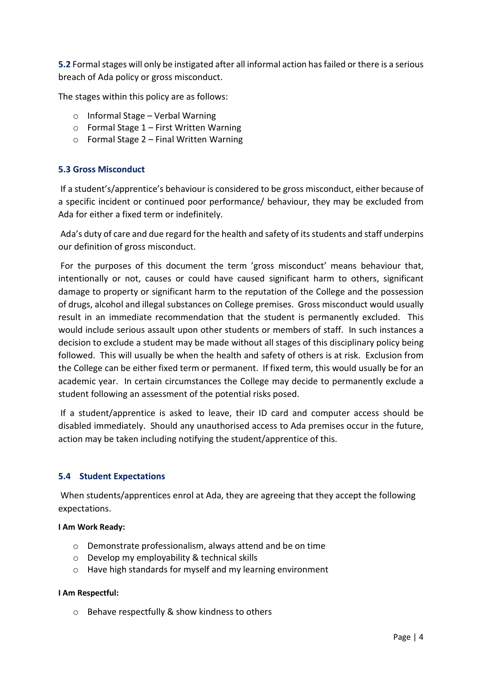5.2 Formal stages will only be instigated after all informal action has failed or there is a serious breach of Ada policy or gross misconduct.

The stages within this policy are as follows:

- o Informal Stage Verbal Warning
- o Formal Stage 1 First Written Warning
- o Formal Stage 2 Final Written Warning

## 5.3 Gross Misconduct

 If a student's/apprentice's behaviour is considered to be gross misconduct, either because of a specific incident or continued poor performance/ behaviour, they may be excluded from Ada for either a fixed term or indefinitely.

 Ada's duty of care and due regard for the health and safety of its students and staff underpins our definition of gross misconduct.

 For the purposes of this document the term 'gross misconduct' means behaviour that, intentionally or not, causes or could have caused significant harm to others, significant damage to property or significant harm to the reputation of the College and the possession of drugs, alcohol and illegal substances on College premises. Gross misconduct would usually result in an immediate recommendation that the student is permanently excluded. This would include serious assault upon other students or members of staff. In such instances a decision to exclude a student may be made without all stages of this disciplinary policy being followed. This will usually be when the health and safety of others is at risk. Exclusion from the College can be either fixed term or permanent. If fixed term, this would usually be for an academic year. In certain circumstances the College may decide to permanently exclude a student following an assessment of the potential risks posed.

 If a student/apprentice is asked to leave, their ID card and computer access should be disabled immediately. Should any unauthorised access to Ada premises occur in the future, action may be taken including notifying the student/apprentice of this.

#### 5.4 Student Expectations

 When students/apprentices enrol at Ada, they are agreeing that they accept the following expectations.

#### I Am Work Ready:

- o Demonstrate professionalism, always attend and be on time
- o Develop my employability & technical skills
- o Have high standards for myself and my learning environment

#### I Am Respectful:

o Behave respectfully & show kindness to others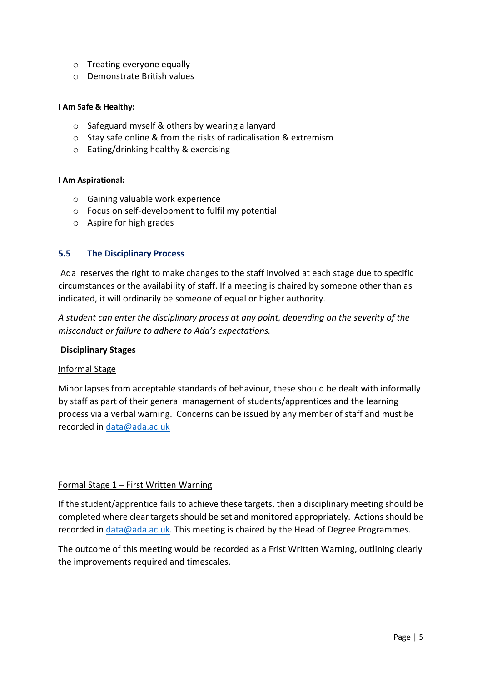- o Treating everyone equally
- o Demonstrate British values

#### I Am Safe & Healthy:

- o Safeguard myself & others by wearing a lanyard
- o Stay safe online & from the risks of radicalisation & extremism
- o Eating/drinking healthy & exercising

#### I Am Aspirational:

- o Gaining valuable work experience
- o Focus on self-development to fulfil my potential
- o Aspire for high grades

## 5.5 The Disciplinary Process

 Ada reserves the right to make changes to the staff involved at each stage due to specific circumstances or the availability of staff. If a meeting is chaired by someone other than as indicated, it will ordinarily be someone of equal or higher authority.

A student can enter the disciplinary process at any point, depending on the severity of the misconduct or failure to adhere to Ada's expectations.

#### Disciplinary Stages

#### Informal Stage

Minor lapses from acceptable standards of behaviour, these should be dealt with informally by staff as part of their general management of students/apprentices and the learning process via a verbal warning. Concerns can be issued by any member of staff and must be recorded in data@ada.ac.uk

#### Formal Stage 1 – First Written Warning

If the student/apprentice fails to achieve these targets, then a disciplinary meeting should be completed where clear targets should be set and monitored appropriately. Actions should be recorded in data@ada.ac.uk. This meeting is chaired by the Head of Degree Programmes.

The outcome of this meeting would be recorded as a Frist Written Warning, outlining clearly the improvements required and timescales.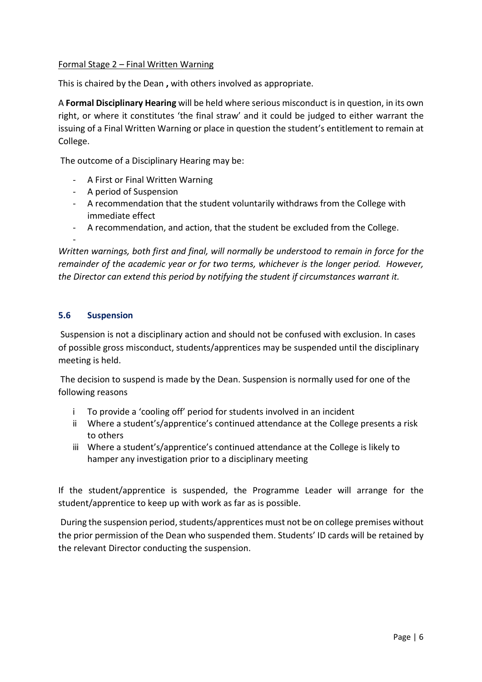## Formal Stage 2 – Final Written Warning

This is chaired by the Dean , with others involved as appropriate.

A Formal Disciplinary Hearing will be held where serious misconduct is in question, in its own right, or where it constitutes 'the final straw' and it could be judged to either warrant the issuing of a Final Written Warning or place in question the student's entitlement to remain at College.

The outcome of a Disciplinary Hearing may be:

- A First or Final Written Warning
- A period of Suspension
- A recommendation that the student voluntarily withdraws from the College with immediate effect
- A recommendation, and action, that the student be excluded from the College.

-

Written warnings, both first and final, will normally be understood to remain in force for the remainder of the academic year or for two terms, whichever is the longer period. However, the Director can extend this period by notifying the student if circumstances warrant it.

## 5.6 Suspension

 Suspension is not a disciplinary action and should not be confused with exclusion. In cases of possible gross misconduct, students/apprentices may be suspended until the disciplinary meeting is held.

 The decision to suspend is made by the Dean. Suspension is normally used for one of the following reasons

- i To provide a 'cooling off' period for students involved in an incident
- ii Where a student's/apprentice's continued attendance at the College presents a risk to others
- iii Where a student's/apprentice's continued attendance at the College is likely to hamper any investigation prior to a disciplinary meeting

If the student/apprentice is suspended, the Programme Leader will arrange for the student/apprentice to keep up with work as far as is possible.

 During the suspension period, students/apprentices must not be on college premises without the prior permission of the Dean who suspended them. Students' ID cards will be retained by the relevant Director conducting the suspension.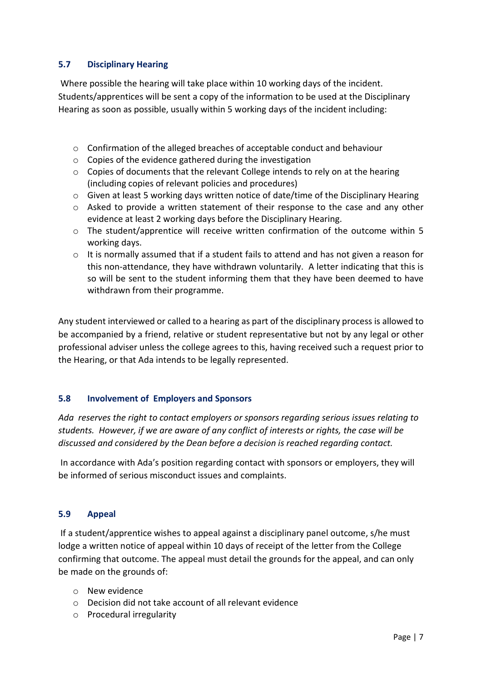## 5.7 Disciplinary Hearing

 Where possible the hearing will take place within 10 working days of the incident. Students/apprentices will be sent a copy of the information to be used at the Disciplinary Hearing as soon as possible, usually within 5 working days of the incident including:

- $\circ$  Confirmation of the alleged breaches of acceptable conduct and behaviour
- o Copies of the evidence gathered during the investigation
- o Copies of documents that the relevant College intends to rely on at the hearing (including copies of relevant policies and procedures)
- $\circ$  Given at least 5 working days written notice of date/time of the Disciplinary Hearing
- o Asked to provide a written statement of their response to the case and any other evidence at least 2 working days before the Disciplinary Hearing.
- o The student/apprentice will receive written confirmation of the outcome within 5 working days.
- $\circ$  It is normally assumed that if a student fails to attend and has not given a reason for this non-attendance, they have withdrawn voluntarily. A letter indicating that this is so will be sent to the student informing them that they have been deemed to have withdrawn from their programme.

Any student interviewed or called to a hearing as part of the disciplinary process is allowed to be accompanied by a friend, relative or student representative but not by any legal or other professional adviser unless the college agrees to this, having received such a request prior to the Hearing, or that Ada intends to be legally represented.

#### 5.8 Involvement of Employers and Sponsors

Ada reserves the right to contact employers or sponsors regarding serious issues relating to students. However, if we are aware of any conflict of interests or rights, the case will be discussed and considered by the Dean before a decision is reached regarding contact.

In accordance with Ada's position regarding contact with sponsors or employers, they will be informed of serious misconduct issues and complaints.

#### 5.9 Appeal

 If a student/apprentice wishes to appeal against a disciplinary panel outcome, s/he must lodge a written notice of appeal within 10 days of receipt of the letter from the College confirming that outcome. The appeal must detail the grounds for the appeal, and can only be made on the grounds of:

- o New evidence
- o Decision did not take account of all relevant evidence
- o Procedural irregularity